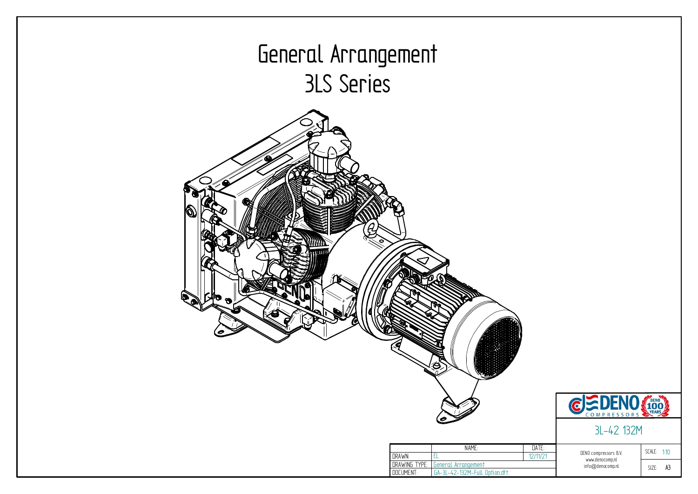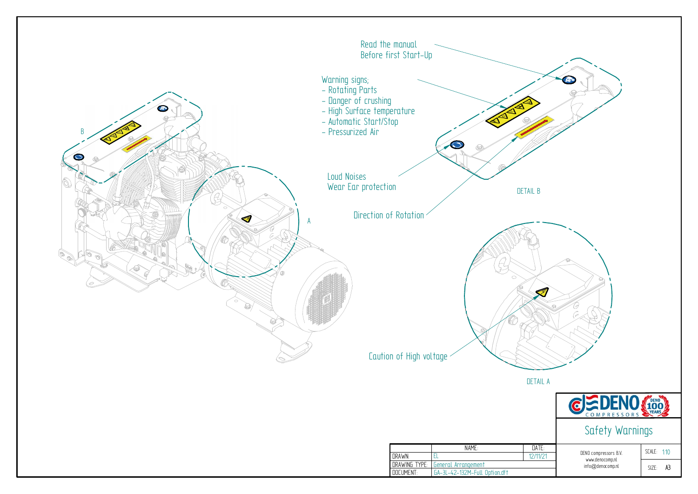

| SCALE: 1 <sup>.</sup> 10 |    |
|--------------------------|----|
| SI7F <sub>2</sub>        | Α3 |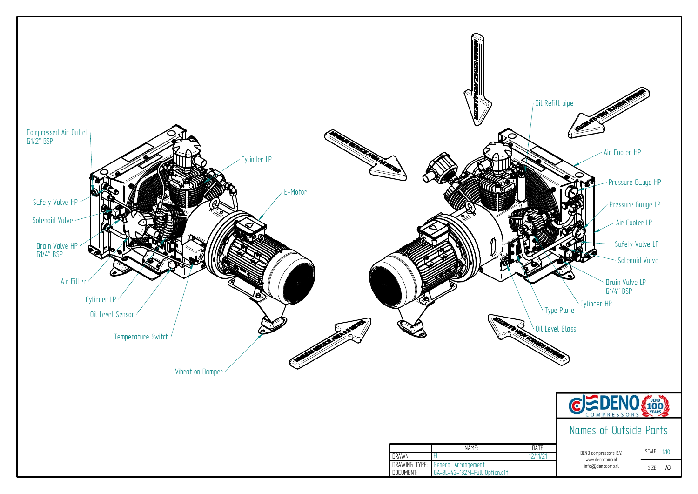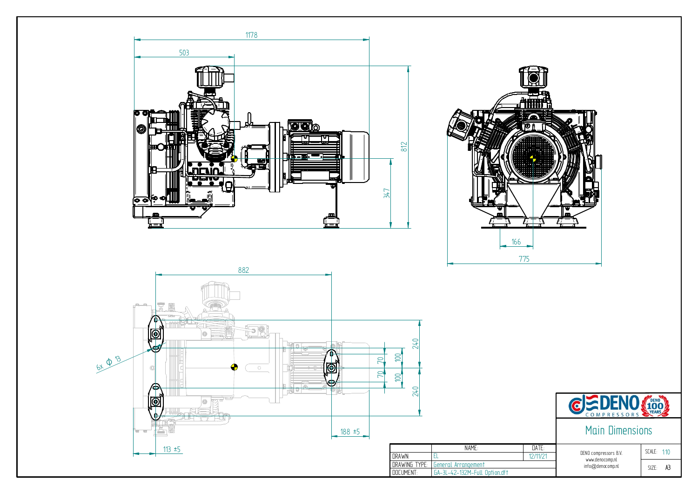![](_page_3_Figure_0.jpeg)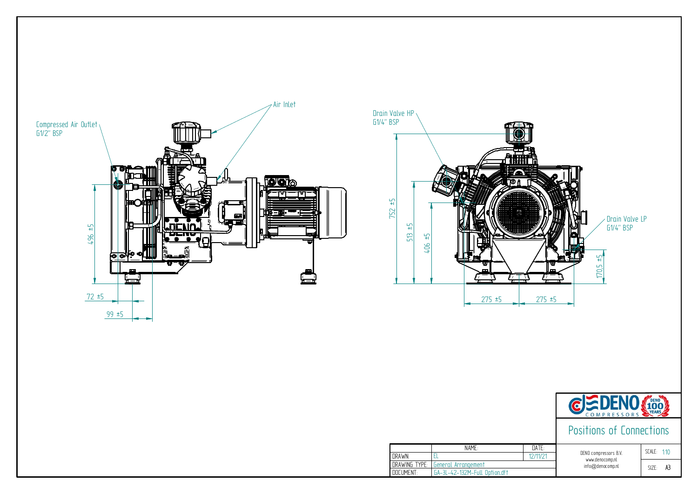![](_page_4_Figure_1.jpeg)

|                  | NAMF.                         |
|------------------|-------------------------------|
| <b>DRAWN:</b>    |                               |
| DRAWING TYPE:    | General Arrangement           |
| <b>NOCLIMENT</b> | GA-3L-42-132M-Full Option.dft |

![](_page_4_Figure_0.jpeg)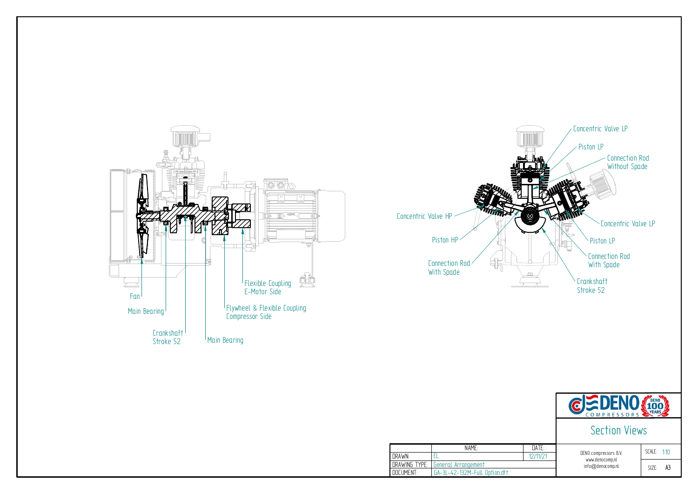![](_page_5_Figure_0.jpeg)

|                  | NAMF.                         |
|------------------|-------------------------------|
| <b>DRAWN:</b>    |                               |
| DRAWING TYPE:    | General Arrangement           |
| <b>NOCUMENT:</b> | GA-3L-42-132M-Full Option.dft |